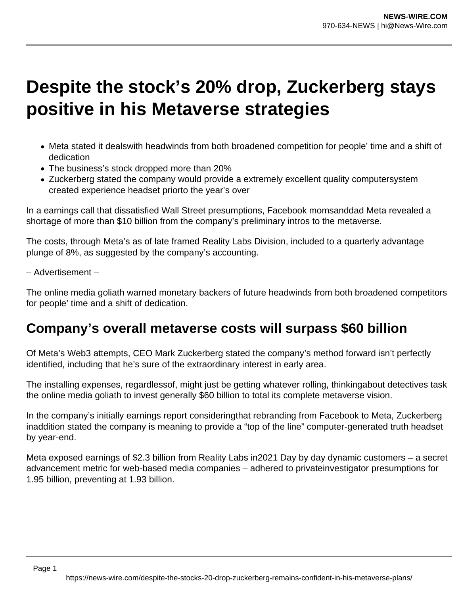## **Despite the stock's 20% drop, Zuckerberg stays positive in his Metaverse strategies**

- Meta stated it dealswith headwinds from both broadened competition for people' time and a shift of dedication
- The business's stock dropped more than 20%
- Zuckerberg stated the company would provide a extremely excellent quality computersystem created experience headset priorto the year's over

In a earnings call that dissatisfied Wall Street presumptions, Facebook momsanddad Meta revealed a shortage of more than \$10 billion from the company's preliminary intros to the metaverse.

The costs, through Meta's as of late framed Reality Labs Division, included to a quarterly advantage plunge of 8%, as suggested by the company's accounting.

– Advertisement –

The online media goliath warned monetary backers of future headwinds from both broadened competitors for people' time and a shift of dedication.

## **Company's overall metaverse costs will surpass \$60 billion**

Of Meta's Web3 attempts, CEO Mark Zuckerberg stated the company's method forward isn't perfectly identified, including that he's sure of the extraordinary interest in early area.

The installing expenses, regardlessof, might just be getting whatever rolling, thinkingabout detectives task the online media goliath to invest generally \$60 billion to total its complete metaverse vision.

In the company's initially earnings report consideringthat rebranding from Facebook to Meta, Zuckerberg inaddition stated the company is meaning to provide a "top of the line" computer-generated truth headset by year-end.

Meta exposed earnings of \$2.3 billion from Reality Labs in2021 Day by day dynamic customers – a secret advancement metric for web-based media companies – adhered to privateinvestigator presumptions for 1.95 billion, preventing at 1.93 billion.